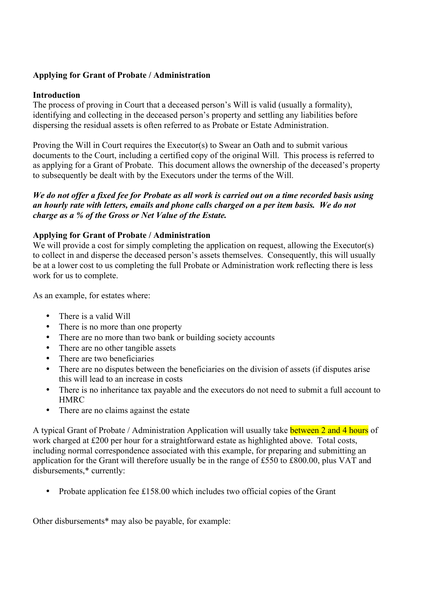# **Applying for Grant of Probate / Administration**

### **Introduction**

The process of proving in Court that a deceased person's Will is valid (usually a formality), identifying and collecting in the deceased person's property and settling any liabilities before dispersing the residual assets is often referred to as Probate or Estate Administration.

Proving the Will in Court requires the Executor(s) to Swear an Oath and to submit various documents to the Court, including a certified copy of the original Will. This process is referred to as applying for a Grant of Probate. This document allows the ownership of the deceased's property to subsequently be dealt with by the Executors under the terms of the Will.

## *We do not offer a fixed fee for Probate as all work is carried out on a time recorded basis using an hourly rate with letters, emails and phone calls charged on a per item basis. We do not charge as a % of the Gross or Net Value of the Estate.*

## **Applying for Grant of Probate / Administration**

We will provide a cost for simply completing the application on request, allowing the Executor(s) to collect in and disperse the deceased person's assets themselves. Consequently, this will usually be at a lower cost to us completing the full Probate or Administration work reflecting there is less work for us to complete.

As an example, for estates where:

- There is a valid Will
- There is no more than one property
- There are no more than two bank or building society accounts
- There are no other tangible assets
- There are two beneficiaries
- There are no disputes between the beneficiaries on the division of assets (if disputes arise this will lead to an increase in costs
- There is no inheritance tax payable and the executors do not need to submit a full account to HMRC
- There are no claims against the estate

A typical Grant of Probate / Administration Application will usually take between 2 and 4 hours of work charged at £200 per hour for a straightforward estate as highlighted above. Total costs, including normal correspondence associated with this example, for preparing and submitting an application for the Grant will therefore usually be in the range of £550 to £800.00, plus VAT and disbursements,\* currently:

• Probate application fee £158.00 which includes two official copies of the Grant

Other disbursements\* may also be payable, for example: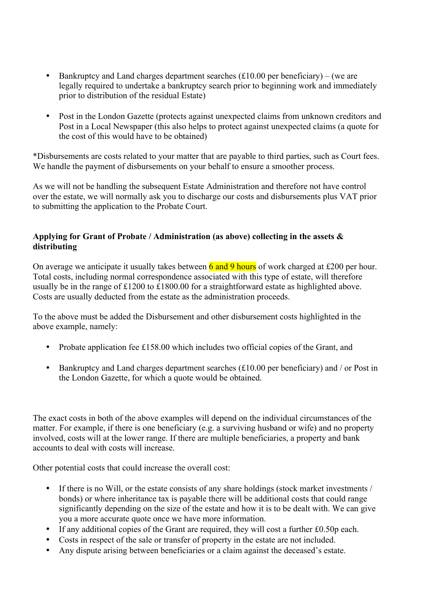- Bankruptcy and Land charges department searches  $(f10.00 \text{ per benefitiary}) (we are$ legally required to undertake a bankruptcy search prior to beginning work and immediately prior to distribution of the residual Estate)
- Post in the London Gazette (protects against unexpected claims from unknown creditors and Post in a Local Newspaper (this also helps to protect against unexpected claims (a quote for the cost of this would have to be obtained)

\*Disbursements are costs related to your matter that are payable to third parties, such as Court fees. We handle the payment of disbursements on your behalf to ensure a smoother process.

As we will not be handling the subsequent Estate Administration and therefore not have control over the estate, we will normally ask you to discharge our costs and disbursements plus VAT prior to submitting the application to the Probate Court.

# **Applying for Grant of Probate / Administration (as above) collecting in the assets & distributing**

On average we anticipate it usually takes between  $\frac{6}{10}$  and 9 hours of work charged at £200 per hour. Total costs, including normal correspondence associated with this type of estate, will therefore usually be in the range of £1200 to £1800.00 for a straightforward estate as highlighted above. Costs are usually deducted from the estate as the administration proceeds.

To the above must be added the Disbursement and other disbursement costs highlighted in the above example, namely:

- Probate application fee £158.00 which includes two official copies of the Grant, and
- Bankruptcy and Land charges department searches (£10.00 per beneficiary) and / or Post in the London Gazette, for which a quote would be obtained.

The exact costs in both of the above examples will depend on the individual circumstances of the matter. For example, if there is one beneficiary (e.g. a surviving husband or wife) and no property involved, costs will at the lower range. If there are multiple beneficiaries, a property and bank accounts to deal with costs will increase.

Other potential costs that could increase the overall cost:

- If there is no Will, or the estate consists of any share holdings (stock market investments / bonds) or where inheritance tax is payable there will be additional costs that could range significantly depending on the size of the estate and how it is to be dealt with. We can give you a more accurate quote once we have more information.
- If any additional copies of the Grant are required, they will cost a further £0.50p each.
- Costs in respect of the sale or transfer of property in the estate are not included.
- Any dispute arising between beneficiaries or a claim against the deceased's estate.